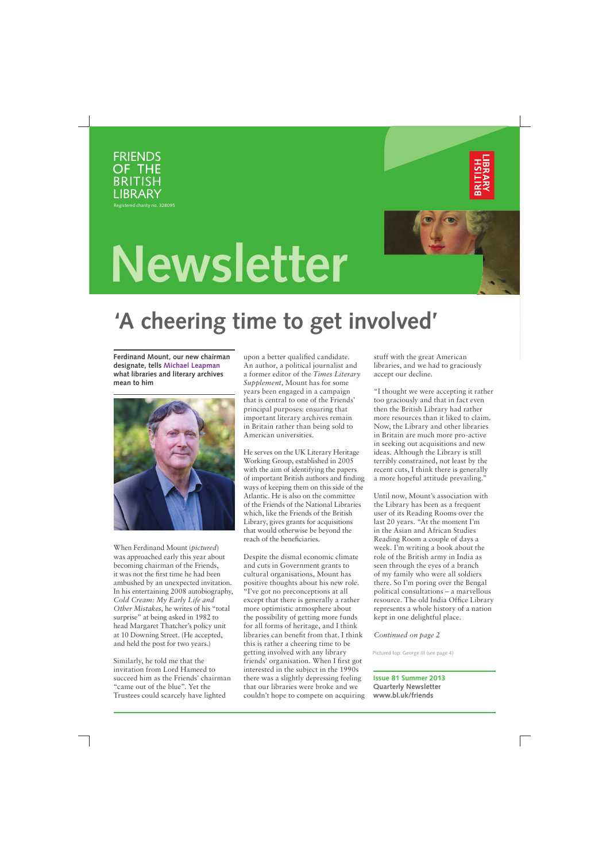

Registered charity no. 328095





# **Newsletter**

## **'A cheering time to get involved'**

**Ferdinand Mount, our new chairman designate, tells Michael Leapman what libraries and literary archives mean to him** 



When Ferdinand Mount (*pictured*) was approached early this year about becoming chairman of the Friends, it was not the first time he had been ambushed by an unexpected invitation. In his entertaining 2008 autobiography, *Cold Cream: My Early Life and Other Mistakes*, he writes of his "total surprise" at being asked in 1982 to head Margaret Thatcher's policy unit at 10 Downing Street. (He accepted, and held the post for two years.)

Similarly, he told me that the invitation from Lord Hameed to succeed him as the Friends' chairman "came out of the blue". Yet the Trustees could scarcely have lighted

upon a better qualified candidate. An author, a political journalist and a former editor of the *Times Literary Supplement*, Mount has for some years been engaged in a campaign that is central to one of the Friends' principal purposes: ensuring that important literary archives remain in Britain rather than being sold to American universities.

He serves on the UK Literary Heritage Working Group, established in 2005 with the aim of identifying the papers of important British authors and finding ways of keeping them on this side of the Atlantic. He is also on the committee of the Friends of the National Libraries which, like the Friends of the British Library, gives grants for acquisitions that would otherwise be beyond the reach of the beneficiaries.

Despite the dismal economic climate and cuts in Government grants to cultural organisations, Mount has positive thoughts about his new role. "I've got no preconceptions at all except that there is generally a rather more optimistic atmosphere about the possibility of getting more funds for all forms of heritage, and I think libraries can benefit from that. I think this is rather a cheering time to be getting involved with any library friends' organisation. When I first got interested in the subject in the 1990s there was a slightly depressing feeling that our libraries were broke and we couldn't hope to compete on acquiring stuff with the great American libraries, and we had to graciously accept our decline.

"I thought we were accepting it rather too graciously and that in fact even then the British Library had rather more resources than it liked to claim. Now, the Library and other libraries in Britain are much more pro-active in seeking out acquisitions and new ideas. Although the Library is still terribly constrained, not least by the recent cuts, I think there is generally a more hopeful attitude prevailing."

Until now, Mount's association with the Library has been as a frequent user of its Reading Rooms over the last 20 years. "At the moment I'm in the Asian and African Studies Reading Room a couple of days a week. I'm writing a book about the role of the British army in India as seen through the eyes of a branch of my family who were all soldiers there. So I'm poring over the Bengal political consultations – a marvellous resource. The old India Office Library represents a whole history of a nation kept in one delightful place.

#### *Continued on page 2*

Pictured top: George III (see page 4)

**Issue 81 Summer 2013 Quarterly Newsletter www.bl.uk/friends**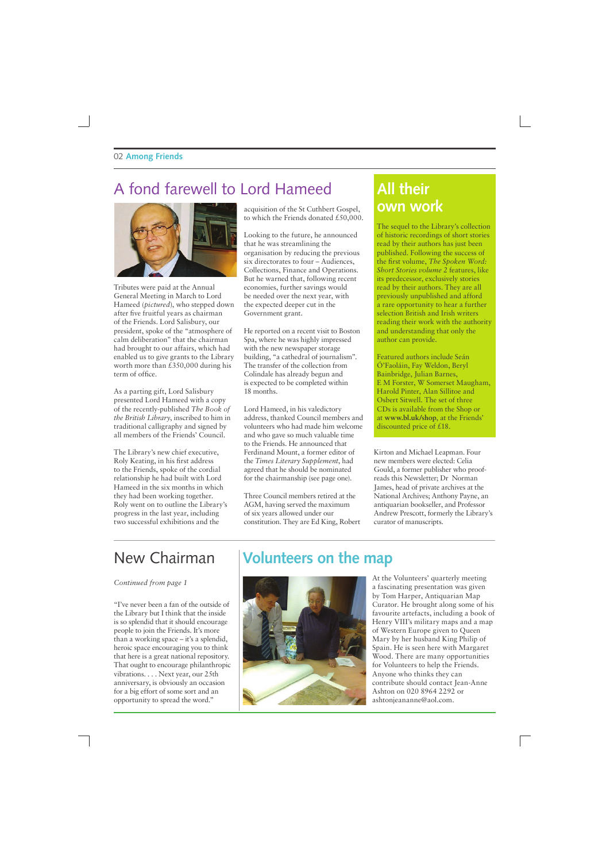### A fond farewell to Lord Hameed



Tributes were paid at the Annual General Meeting in March to Lord Hameed (*pictured*), who stepped down after five fruitful years as chairman of the Friends. Lord Salisbury, our president, spoke of the "atmosphere of calm deliberation" that the chairman had brought to our affairs, which had enabled us to give grants to the Library worth more than £350,000 during his term of office.

As a parting gift, Lord Salisbury presented Lord Hameed with a copy of the recently-published *The Book of the British Library*, inscribed to him in traditional calligraphy and signed by all members of the Friends' Council.

The Library's new chief executive, Roly Keating, in his first address to the Friends, spoke of the cordial relationship he had built with Lord Hameed in the six months in which they had been working together. Roly went on to outline the Library's progress in the last year, including two successful exhibitions and the

acquisition of the St Cuthbert Gospel, to which the Friends donated £50,000.

Looking to the future, he announced that he was streamlining the organisation by reducing the previous six directorates to four – Audiences, Collections, Finance and Operations. But he warned that, following recent economies, further savings would be needed over the next year, with the expected deeper cut in the Government grant.

He reported on a recent visit to Boston Spa, where he was highly impressed with the new newspaper storage building, "a cathedral of journalism". The transfer of the collection from Colindale has already begun and is expected to be completed within 18 months.

Lord Hameed, in his valedictory address, thanked Council members and volunteers who had made him welcome and who gave so much valuable time to the Friends. He announced that Ferdinand Mount, a former editor of the *Times Literary Supplement*, had agreed that he should be nominated for the chairmanship (see page one).

Three Council members retired at the AGM, having served the maximum of six years allowed under our constitution. They are Ed King, Robert

### **All their own work**

The sequel to the Library's collection of historic recordings of short stories read by their authors has just been published. Following the success of the first volume, *The Spoken Word: Short Stories volume 2* features, like its predecessor, exclusively stories read by their authors. They are all previously unpublished and afford a rare opportunity to hear a further selection British and Irish writers reading their work with the authority and understanding that only the author can provide.

Featured authors include Seán Ó'Faoláin, Fay Weldon, Beryl Bainbridge, Julian Barnes, E M Forster, W Somerset Maugham, Harold Pinter, Alan Sillitoe and Osbert Sitwell. The set of three CDs is available from the Shop or at **www.bl.uk/shop**, at the Friends' discounted price of £18.

Kirton and Michael Leapman. Four new members were elected: Celia Gould, a former publisher who proofreads this Newsletter; Dr Norman James, head of private archives at the National Archives; Anthony Payne, an antiquarian bookseller, and Professor Andrew Prescott, formerly the Library's curator of manuscripts.

### New Chairman

#### *Continued from page 1*

"I've never been a fan of the outside of the Library but I think that the inside is so splendid that it should encourage people to join the Friends. It's more than a working space – it's a splendid, heroic space encouraging you to think that here is a great national repository. That ought to encourage philanthropic vibrations. . . . Next year, our 25th anniversary, is obviously an occasion for a big effort of some sort and an opportunity to spread the word."

### **Volunteers on the map**



At the Volunteers' quarterly meeting a fascinating presentation was given by Tom Harper, Antiquarian Map Curator. He brought along some of his favourite artefacts, including a book of Henry VIII's military maps and a map of Western Europe given to Queen Mary by her husband King Philip of Spain. He is seen here with Margaret Wood. There are many opportunities for Volunteers to help the Friends. Anyone who thinks they can contribute should contact Jean-Anne Ashton on 020 8964 2292 or ashtonjeananne@aol.com.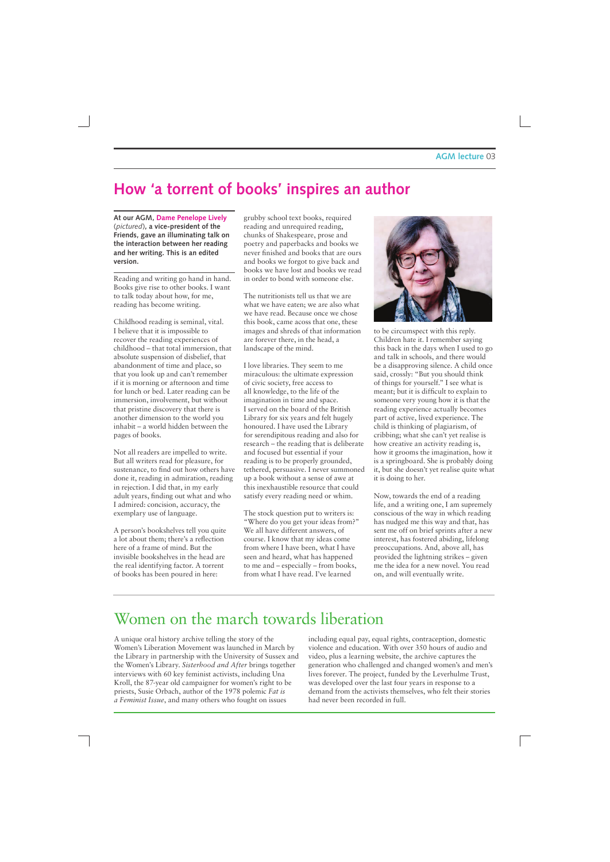### **How 'a torrent of books' inspires an author**

**At our AGM, Dame Penelope Lively**  (*pictured*)**, a vice-president of the Friends, gave an illuminating talk on the interaction between her reading and her writing. This is an edited version.** 

Reading and writing go hand in hand. Books give rise to other books. I want to talk today about how, for me, reading has become writing.

Childhood reading is seminal, vital. I believe that it is impossible to recover the reading experiences of childhood – that total immersion, that absolute suspension of disbelief, that abandonment of time and place, so that you look up and can't remember if it is morning or afternoon and time for lunch or bed. Later reading can be immersion, involvement, but without that pristine discovery that there is another dimension to the world you inhabit – a world hidden between the pages of books.

Not all readers are impelled to write. But all writers read for pleasure, for sustenance, to find out how others have done it, reading in admiration, reading in rejection. I did that, in my early adult years, finding out what and who I admired: concision, accuracy, the exemplary use of language.

A person's bookshelves tell you quite a lot about them; there's a reflection here of a frame of mind. But the invisible bookshelves in the head are the real identifying factor. A torrent of books has been poured in here:

grubby school text books, required reading and unrequired reading, chunks of Shakespeare, prose and poetry and paperbacks and books we never finished and books that are ours and books we forgot to give back and books we have lost and books we read in order to bond with someone else.

The nutritionists tell us that we are what we have eaten; we are also what we have read. Because once we chose this book, came acoss that one, these images and shreds of that information are forever there, in the head, a landscape of the mind.

I love libraries. They seem to me miraculous: the ultimate expression of civic society, free access to all knowledge, to the life of the imagination in time and space. I served on the board of the British Library for six years and felt hugely honoured. I have used the Library for serendipitous reading and also for research – the reading that is deliberate and focused but essential if your reading is to be properly grounded, tethered, persuasive. I never summoned up a book without a sense of awe at this inexhaustible resource that could satisfy every reading need or whim.

The stock question put to writers is: "Where do you get your ideas from?" We all have different answers, of course. I know that my ideas come from where I have been, what I have seen and heard, what has happened to me and – especially – from books, from what I have read. I've learned



to be circumspect with this reply. Children hate it. I remember saying this back in the days when I used to go and talk in schools, and there would be a disapproving silence. A child once said, crossly: "But you should think of things for yourself." I see what is meant; but it is difficult to explain to someone very young how it is that the reading experience actually becomes part of active, lived experience. The child is thinking of plagiarism, of cribbing; what she can't yet realise is how creative an activity reading is, how it grooms the imagination, how it is a springboard. She is probably doing it, but she doesn't yet realise quite what it is doing to her.

Now, towards the end of a reading life, and a writing one, I am supremely conscious of the way in which reading has nudged me this way and that, has sent me off on brief sprints after a new interest, has fostered abiding, lifelong preoccupations. And, above all, has provided the lightning strikes – given me the idea for a new novel. You read on, and will eventually write.

### Women on the march towards liberation

A unique oral history archive telling the story of the Women's Liberation Movement was launched in March by the Library in partnership with the University of Sussex and the Women's Library. *Sisterhood and After* brings together interviews with 60 key feminist activists, including Una Kroll, the 87-year old campaigner for women's right to be priests, Susie Orbach, author of the 1978 polemic *Fat is a Feminist Issue*, and many others who fought on issues

including equal pay, equal rights, contraception, domestic violence and education. With over 350 hours of audio and video, plus a learning website, the archive captures the generation who challenged and changed women's and men's lives forever. The project, funded by the Leverhulme Trust, was developed over the last four years in response to a demand from the activists themselves, who felt their stories had never been recorded in full.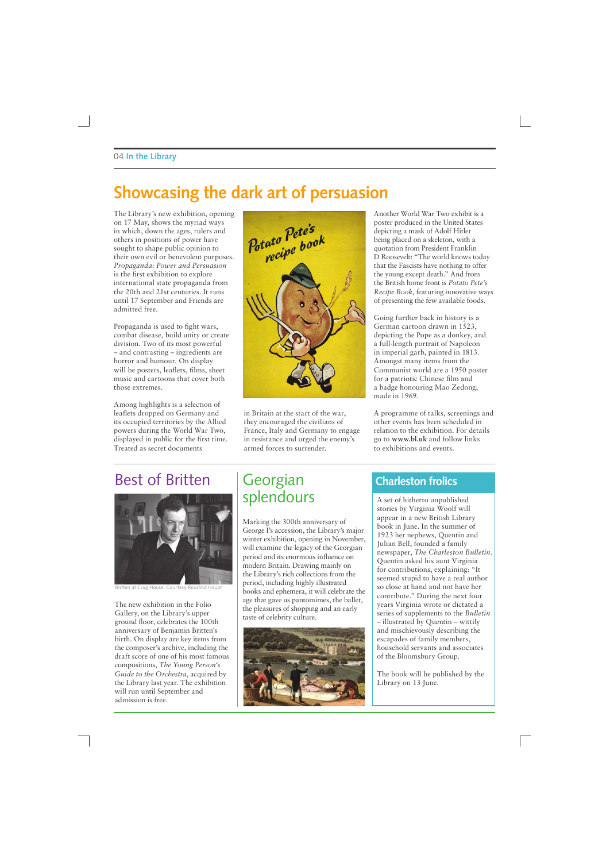### **Showcasing the dark art of persuasion**

The Library's new exhibition, opening on 17 May, shows the myriad ways in which, down the ages, rulers and others in positions of power have sought to shape public opinion to their own evil or benevolent purposes. *Propaganda: Power and Persuasion* is the first exhibition to explore international state propaganda from the 20th and 21st centuries. It runs until 17 September and Friends are admitted free.

Propaganda is used to fight wars, combat disease, build unity or create division. Two of its most powerful – and contrasting – ingredients are horror and humour. On display will be posters, leaflets, films, sheet music and cartoons that cover both those extremes.

Among highlights is a selection of leaflets dropped on Germany and its occupied territories by the Allied powers during the World War Two, displayed in public for the first time. Treated as secret documents



in Britain at the start of the war, they encouraged the civilians of France, Italy and Germany to engage in resistance and urged the enemy's armed forces to surrender.

Another World War Two exhibit is a poster produced in the United States depicting a mask of Adolf Hitler being placed on a skeleton, with a quotation from President Franklin D Roosevelt: "The world knows today that the Fascists have nothing to offer the young except death." And from the British home front is *Potato Pete's Recipe Book*, featuring innovative ways of presenting the few available foods.

Going further back in history is a German cartoon drawn in 1523, depicting the Pope as a donkey, and a full-length portrait of Napoleon in imperial garb, painted in 1813. Amongst many items from the Communist world are a 1950 poster for a patriotic Chinese film and a badge honouring Mao Zedong, made in 1969.

A programme of talks, screenings and other events has been scheduled in relation to the exhibition. For details go to **www.bl.uk** and follow links to exhibitions and events.

### Best of Britten



Britten at Crag House. Courtesy Rosalind Haupt

The new exhibition in the Folio Gallery, on the Library's upper ground floor, celebrates the 100th anniversary of Benjamin Britten's birth. On display are key items from the composer's archive, including the draft score of one of his most famous compositions, *The Young Person's Guide to the Orchestra*, acquired by the Library last year. The exhibition will run until September and admission is free.

### **Georgian** splendours

Marking the 300th anniversary of George I's accession, the Library's major winter exhibition, opening in November, will examine the legacy of the Georgian period and its enormous influence on modern Britain. Drawing mainly on the Library's rich collections from the period, including highly illustrated books and ephemera, it will celebrate the age that gave us pantomimes, the ballet, the pleasures of shopping and an early taste of celebrity culture.



### **Charleston frolics**

A set of hitherto unpublished stories by Virginia Woolf will appear in a new British Library book in June. In the summer of 1923 her nephews, Quentin and Julian Bell, founded a family newspaper, *The Charleston Bulletin*. Quentin asked his aunt Virginia for contributions, explaining: "It seemed stupid to have a real author so close at hand and not have her contribute." During the next four years Virginia wrote or dictated a series of supplements to the *Bulletin* – illustrated by Quentin – wittily and mischievously describing the escapades of family members, household servants and associates of the Bloomsbury Group.

The book will be published by the Library on 13 June.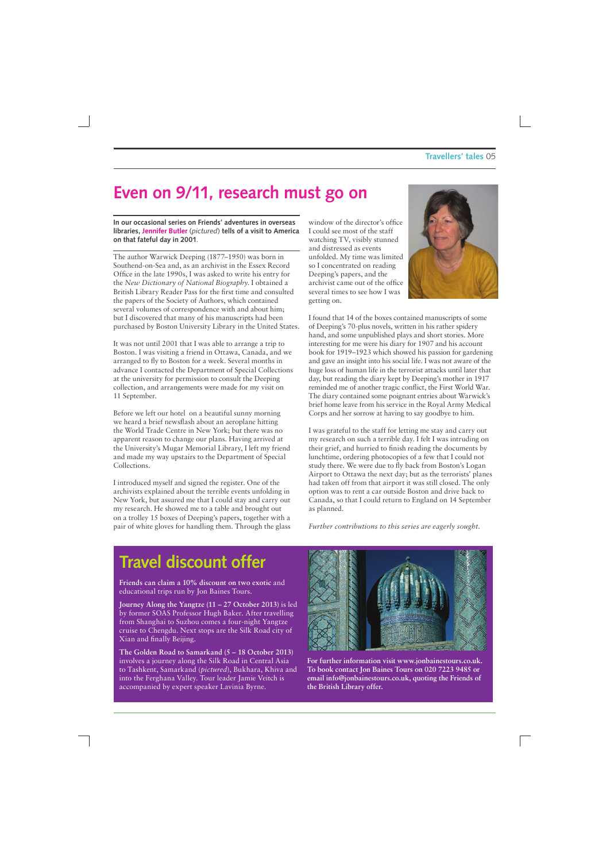### **Even on 9/11, research must go on**

#### **In our occasional series on Friends' adventures in overseas libraries, Jennifer Butler** (*pictured*) **tells of a visit to America on that fateful day in 2001**.

The author Warwick Deeping (1877–1950) was born in Southend-on-Sea and, as an archivist in the Essex Record Office in the late 1990s, I was asked to write his entry for the *New Dictionary of National Biography*. I obtained a British Library Reader Pass for the first time and consulted the papers of the Society of Authors, which contained several volumes of correspondence with and about him; but I discovered that many of his manuscripts had been purchased by Boston University Library in the United States.

It was not until 2001 that I was able to arrange a trip to Boston. I was visiting a friend in Ottawa, Canada, and we arranged to fly to Boston for a week. Several months in advance I contacted the Department of Special Collections at the university for permission to consult the Deeping collection, and arrangements were made for my visit on 11 September.

Before we left our hotel on a beautiful sunny morning we heard a brief newsflash about an aeroplane hitting the World Trade Centre in New York; but there was no apparent reason to change our plans. Having arrived at the University's Mugar Memorial Library, I left my friend and made my way upstairs to the Department of Special Collections.

I introduced myself and signed the register. One of the archivists explained about the terrible events unfolding in New York, but assured me that I could stay and carry out my research. He showed me to a table and brought out on a trolley 15 boxes of Deeping's papers, together with a pair of white gloves for handling them. Through the glass

window of the director's office I could see most of the staff watching TV, visibly stunned and distressed as events unfolded. My time was limited so I concentrated on reading Deeping's papers, and the archivist came out of the office several times to see how I was getting on.



I found that 14 of the boxes contained manuscripts of some of Deeping's 70-plus novels, written in his rather spidery hand, and some unpublished plays and short stories. More interesting for me were his diary for 1907 and his account book for 1919–1923 which showed his passion for gardening and gave an insight into his social life. I was not aware of the huge loss of human life in the terrorist attacks until later that day, but reading the diary kept by Deeping's mother in 1917 reminded me of another tragic conflict, the First World War. The diary contained some poignant entries about Warwick's brief home leave from his service in the Royal Army Medical Corps and her sorrow at having to say goodbye to him.

I was grateful to the staff for letting me stay and carry out my research on such a terrible day. I felt I was intruding on their grief, and hurried to finish reading the documents by lunchtime, ordering photocopies of a few that I could not study there. We were due to fly back from Boston's Logan Airport to Ottawa the next day; but as the terrorists' planes had taken off from that airport it was still closed. The only option was to rent a car outside Boston and drive back to Canada, so that I could return to England on 14 September as planned.

*Further contributions to this series are eagerly sought.* 

### **Travel discount offer**

**Friends can claim a 10% discount on two exotic** and educational trips run by Jon Baines Tours.

**Journey Along the Yangtze (11 – 27 October 2013)** is led by former SOAS Professor Hugh Baker. After travelling from Shanghai to Suzhou comes a four-night Yangtze cruise to Chengdu. Next stops are the Silk Road city of Xian and finally Beijing.

**The Golden Road to Samarkand (5 – 18 October 2013)** involves a journey along the Silk Road in Central Asia to Tashkent, Samarkand (*pictured*), Bukhara, Khiva and into the Ferghana Valley. Tour leader Jamie Veitch is accompanied by expert speaker Lavinia Byrne.



**For further information visit www.jonbainestours.co.uk. To book contact Jon Baines Tours on 020 7223 9485 or email info@jonbainestours.co.uk, quoting the Friends of the British Library offer.**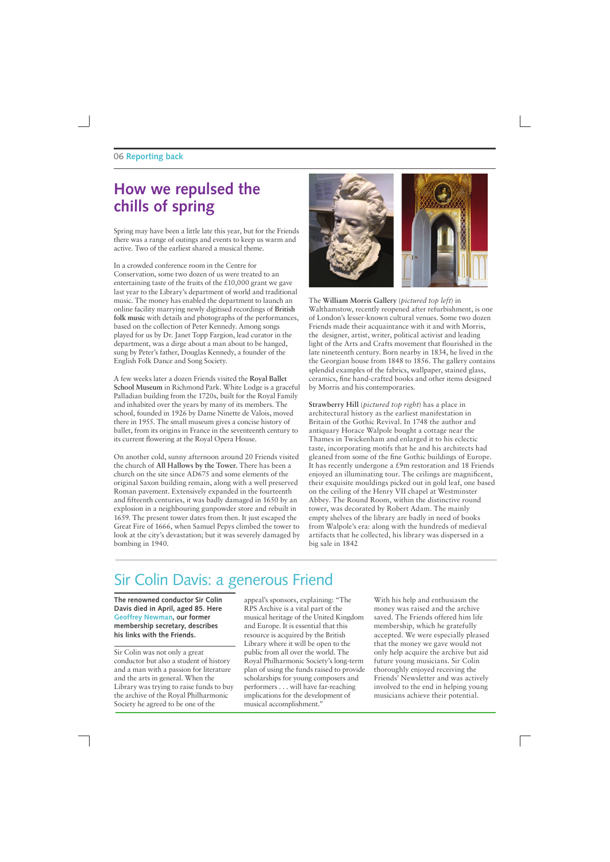### **How we repulsed the chills of spring**

Spring may have been a little late this year, but for the Friends there was a range of outings and events to keep us warm and active. Two of the earliest shared a musical theme.

In a crowded conference room in the Centre for Conservation, some two dozen of us were treated to an entertaining taste of the fruits of the £10,000 grant we gave last year to the Library's department of world and traditional music. The money has enabled the department to launch an online facility marrying newly digitised recordings of **British folk music** with details and photographs of the performances, based on the collection of Peter Kennedy. Among songs played for us by Dr. Janet Topp Fargion, lead curator in the department, was a dirge about a man about to be hanged, sung by Peter's father, Douglas Kennedy, a founder of the English Folk Dance and Song Society.

A few weeks later a dozen Friends visited the **Royal Ballet School Museum** in Richmond Park. White Lodge is a graceful Palladian building from the 1720s, built for the Royal Family and inhabited over the years by many of its members. The school, founded in 1926 by Dame Ninette de Valois, moved there in 1955. The small museum gives a concise history of ballet, from its origins in France in the seventeenth century to its current flowering at the Royal Opera House.

On another cold, sunny afternoon around 20 Friends visited the church of **All Hallows by the Tower.** There has been a church on the site since AD675 and some elements of the original Saxon building remain, along with a well preserved Roman pavement. Extensively expanded in the fourteenth and fifteenth centuries, it was badly damaged in 1650 by an explosion in a neighbouring gunpowder store and rebuilt in 1659. The present tower dates from then. It just escaped the Great Fire of 1666, when Samuel Pepys climbed the tower to look at the city's devastation; but it was severely damaged by bombing in 1940.



The **William Morris Gallery** (*pictured top left*) in Walthamstow, recently reopened after refurbishment, is one of London's lesser-known cultural venues. Some two dozen Friends made their acquaintance with it and with Morris, the designer, artist, writer, political activist and leading light of the Arts and Crafts movement that flourished in the late nineteenth century. Born nearby in 1834, he lived in the the Georgian house from 1848 to 1856. The gallery contains splendid examples of the fabrics, wallpaper, stained glass, ceramics, fine hand-crafted books and other items designed by Morris and his contemporaries.

**Strawberry Hill** (*pictured top right*) has a place in architectural history as the earliest manifestation in Britain of the Gothic Revival. In 1748 the author and antiquary Horace Walpole bought a cottage near the Thames in Twickenham and enlarged it to his eclectic taste, incorporating motifs that he and his architects had gleaned from some of the fine Gothic buildings of Europe. It has recently undergone a £9m restoration and 18 Friends enjoyed an illuminating tour. The ceilings are magnificent, their exquisite mouldings picked out in gold leaf, one based on the ceiling of the Henry VII chapel at Westminster Abbey. The Round Room, within the distinctive round tower, was decorated by Robert Adam. The mainly empty shelves of the library are badly in need of books from Walpole's era: along with the hundreds of medieval artifacts that he collected, his library was dispersed in a big sale in 1842

### Sir Colin Davis: a generous Friend

**The renowned conductor Sir Colin Davis died in April, aged 85. Here Geoffrey Newman, our former membership secretary, describes his links with the Friends.**

Sir Colin was not only a great conductor but also a student of history and a man with a passion for literature and the arts in general. When the Library was trying to raise funds to buy the archive of the Royal Philharmonic Society he agreed to be one of the

appeal's sponsors, explaining: "The RPS Archive is a vital part of the musical heritage of the United Kingdom and Europe. It is essential that this resource is acquired by the British Library where it will be open to the public from all over the world. The Royal Philharmonic Society's long-term plan of using the funds raised to provide scholarships for young composers and performers . . . will have far-reaching implications for the development of musical accomplishment."

With his help and enthusiasm the money was raised and the archive saved. The Friends offered him life membership, which he gratefully accepted. We were especially pleased that the money we gave would not only help acquire the archive but aid future young musicians. Sir Colin thoroughly enjoyed receiving the Friends' Newsletter and was actively involved to the end in helping young musicians achieve their potential.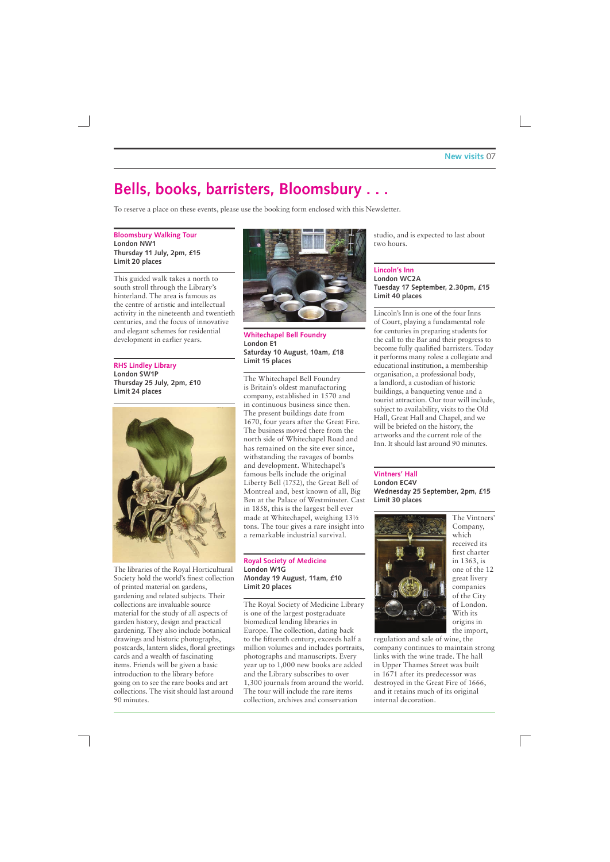### **Bells, books, barristers, Bloomsbury . . .**

To reserve a place on these events, please use the booking form enclosed with this Newsletter.

#### **Bloomsbury Walking Tour London NW1 Thursday 11 July, 2pm, £15 Limit 20 places**

This guided walk takes a north to south stroll through the Library's hinterland. The area is famous as the centre of artistic and intellectual activity in the nineteenth and twentieth centuries, and the focus of innovative and elegant schemes for residential development in earlier years.

**RHS Lindley Library London SW1P Thursday 25 July, 2pm, £10 Limit 24 places**



The libraries of the Royal Horticultural Society hold the world's finest collection of printed material on gardens, gardening and related subjects. Their collections are invaluable source material for the study of all aspects of garden history, design and practical gardening. They also include botanical drawings and historic photographs, postcards, lantern slides, floral greetings cards and a wealth of fascinating items. Friends will be given a basic introduction to the library before going on to see the rare books and art collections. The visit should last around 90 minutes.



**Whitechapel Bell Foundry London E1 Saturday 10 August, 10am, £18 Limit 15 places**

The Whitechapel Bell Foundry is Britain's oldest manufacturing company, established in 1570 and in continuous business since then. The present buildings date from 1670, four years after the Great Fire. The business moved there from the north side of Whitechapel Road and has remained on the site ever since, withstanding the ravages of bombs and development. Whitechapel's famous bells include the original Liberty Bell (1752), the Great Bell of Montreal and, best known of all, Big Ben at the Palace of Westminster. Cast in 1858, this is the largest bell ever made at Whitechapel, weighing 13½ tons. The tour gives a rare insight into a remarkable industrial survival.

#### **Royal Society of Medicine London W1G Monday 19 August, 11am, £10 Limit 20 places**

The Royal Society of Medicine Library is one of the largest postgraduate biomedical lending libraries in Europe. The collection, dating back to the fifteenth century, exceeds half a million volumes and includes portraits, photographs and manuscripts. Every year up to 1,000 new books are added and the Library subscribes to over 1,300 journals from around the world. The tour will include the rare items collection, archives and conservation

studio, and is expected to last about two hours.

#### **Lincoln's Inn London WC2A Tuesday 17 September, 2.30pm, £15 Limit 40 places**

Lincoln's Inn is one of the four Inns of Court, playing a fundamental role for centuries in preparing students for the call to the Bar and their progress to become fully qualified barristers. Today it performs many roles: a collegiate and educational institution, a membership organisation, a professional body, a landlord, a custodian of historic buildings, a banqueting venue and a tourist attraction. Our tour will include, subject to availability, visits to the Old Hall, Great Hall and Chapel, and we will be briefed on the history, the artworks and the current role of the Inn. It should last around 90 minutes.

#### **Vintners' Hall**

**London EC4V Wednesday 25 September, 2pm, £15 Limit 30 places**



The Vintners' Company, which received its first charter in 1363, is one of the 12 great livery companies of the City of London. With its origins in the import,

regulation and sale of wine, the company continues to maintain strong links with the wine trade. The hall in Upper Thames Street was built in 1671 after its predecessor was destroyed in the Great Fire of 1666, and it retains much of its original internal decoration.